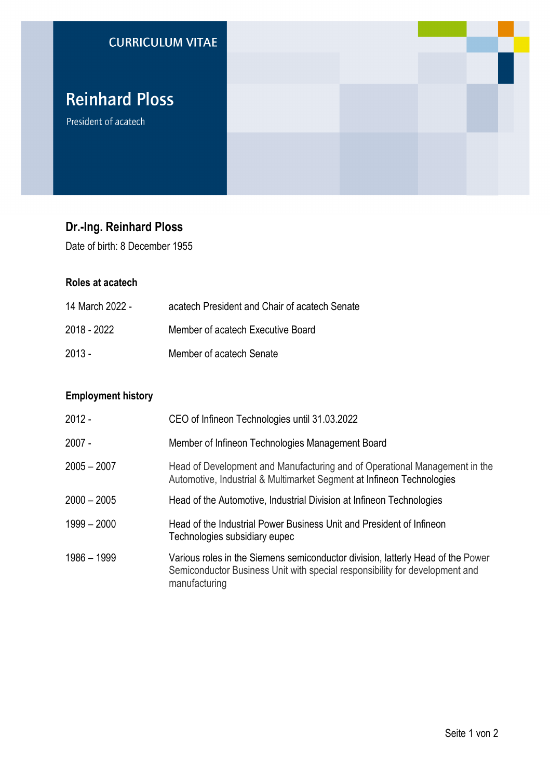

# **Dr.-Ing. Reinhard Ploss**

Date of birth: 8 December 1955

### **Roles at acatech**

| 14 March 2022 - | acatech President and Chair of acatech Senate |
|-----------------|-----------------------------------------------|
| 2018 - 2022     | Member of acatech Executive Board             |
| $2013 -$        | Member of acatech Senate                      |

## **Employment history**

| $2012 -$      | CEO of Infineon Technologies until 31.03.2022                                                                                                                                   |
|---------------|---------------------------------------------------------------------------------------------------------------------------------------------------------------------------------|
| $2007 -$      | Member of Infineon Technologies Management Board                                                                                                                                |
| $2005 - 2007$ | Head of Development and Manufacturing and of Operational Management in the<br>Automotive, Industrial & Multimarket Segment at Infineon Technologies                             |
| $2000 - 2005$ | Head of the Automotive, Industrial Division at Infineon Technologies                                                                                                            |
| $1999 - 2000$ | Head of the Industrial Power Business Unit and President of Infineon<br>Technologies subsidiary eupec                                                                           |
| 1986 - 1999   | Various roles in the Siemens semiconductor division, latterly Head of the Power<br>Semiconductor Business Unit with special responsibility for development and<br>manufacturing |